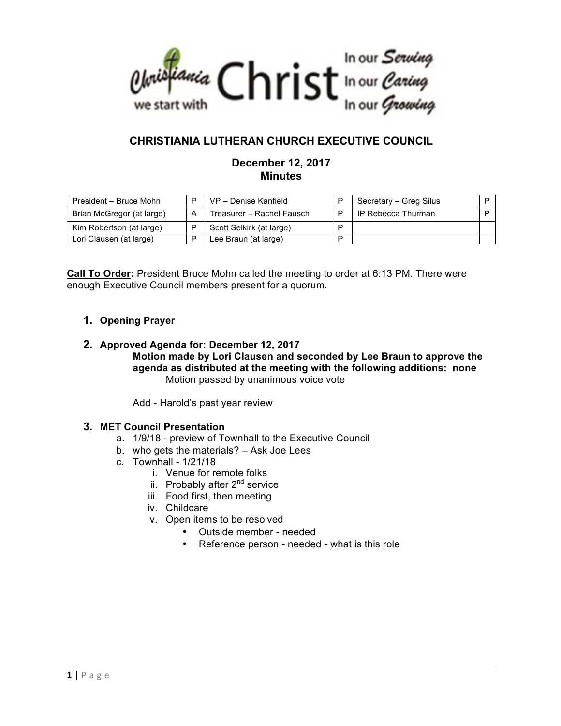

## **CHRISTIANIA LUTHERAN CHURCH EXECUTIVE COUNCIL**

## **December 12, 2017 Minutes**

| President - Bruce Mohn    | VP - Denise Kanfield      | D | Secretary - Greg Silus |  |
|---------------------------|---------------------------|---|------------------------|--|
| Brian McGregor (at large) | Treasurer - Rachel Fausch |   | IP Rebecca Thurman     |  |
| Kim Robertson (at large)  | Scott Selkirk (at large)  | D |                        |  |
| Lori Clausen (at large)   | Lee Braun (at large)      | D |                        |  |

**Call To Order:** President Bruce Mohn called the meeting to order at 6:13 PM. There were enough Executive Council members present for a quorum.

## **1. Opening Prayer**

**2. Approved Agenda for: December 12, 2017 Motion made by Lori Clausen and seconded by Lee Braun to approve the agenda as distributed at the meeting with the following additions: none** Motion passed by unanimous voice vote

Add - Harold's past year review

## **3. MET Council Presentation**

- a. 1/9/18 preview of Townhall to the Executive Council
- b. who gets the materials? Ask Joe Lees
- c. Townhall 1/21/18
	- i. Venue for remote folks
	- ii. Probably after 2<sup>nd</sup> service
	- iii. Food first, then meeting
	- iv. Childcare
	- v. Open items to be resolved
		- Outside member needed
		- Reference person needed what is this role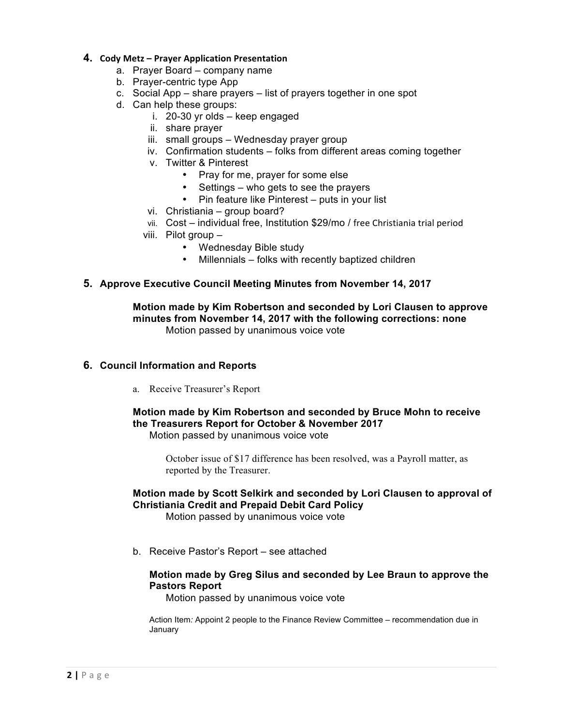#### **4. Cody Metz – Prayer Application Presentation**

- a. Prayer Board company name
- b. Prayer-centric type App
- c. Social App share prayers list of prayers together in one spot
- d. Can help these groups:
	- i. 20-30 yr olds keep engaged
		- ii. share prayer
		- iii. small groups Wednesday prayer group
		- iv. Confirmation students folks from different areas coming together
		- v. Twitter & Pinterest
			- Pray for me, prayer for some else
			- Settings who gets to see the prayers
			- Pin feature like Pinterest puts in your list
		- vi. Christiania group board?
		- vii. Cost individual free, Institution \$29/mo / free Christiania trial period
	- viii. Pilot group
		- Wednesday Bible study
		- Millennials folks with recently baptized children

#### **5. Approve Executive Council Meeting Minutes from November 14, 2017**

**Motion made by Kim Robertson and seconded by Lori Clausen to approve minutes from November 14, 2017 with the following corrections: none**  Motion passed by unanimous voice vote

#### **6. Council Information and Reports**

a. Receive Treasurer's Report

# **Motion made by Kim Robertson and seconded by Bruce Mohn to receive the Treasurers Report for October & November 2017**

Motion passed by unanimous voice vote

October issue of \$17 difference has been resolved, was a Payroll matter, as reported by the Treasurer.

## **Motion made by Scott Selkirk and seconded by Lori Clausen to approval of Christiania Credit and Prepaid Debit Card Policy**

Motion passed by unanimous voice vote

b. Receive Pastor's Report – see attached

#### **Motion made by Greg Silus and seconded by Lee Braun to approve the Pastors Report**

Motion passed by unanimous voice vote

Action Item*:* Appoint 2 people to the Finance Review Committee – recommendation due in January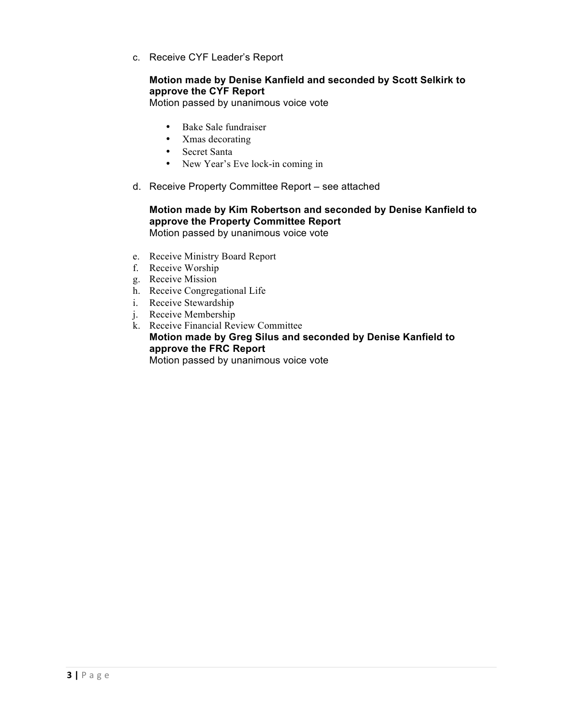c. Receive CYF Leader's Report

## **Motion made by Denise Kanfield and seconded by Scott Selkirk to approve the CYF Report**

Motion passed by unanimous voice vote

- Bake Sale fundraiser
- Xmas decorating
- Secret Santa
- New Year's Eve lock-in coming in
- d. Receive Property Committee Report see attached

#### **Motion made by Kim Robertson and seconded by Denise Kanfield to approve the Property Committee Report** Motion passed by unanimous voice vote

- e. Receive Ministry Board Report
- f. Receive Worship
- g. Receive Mission
- h. Receive Congregational Life
- i. Receive Stewardship
- j. Receive Membership
- k. Receive Financial Review Committee **Motion made by Greg Silus and seconded by Denise Kanfield to approve the FRC Report** Motion passed by unanimous voice vote

**3 |** Page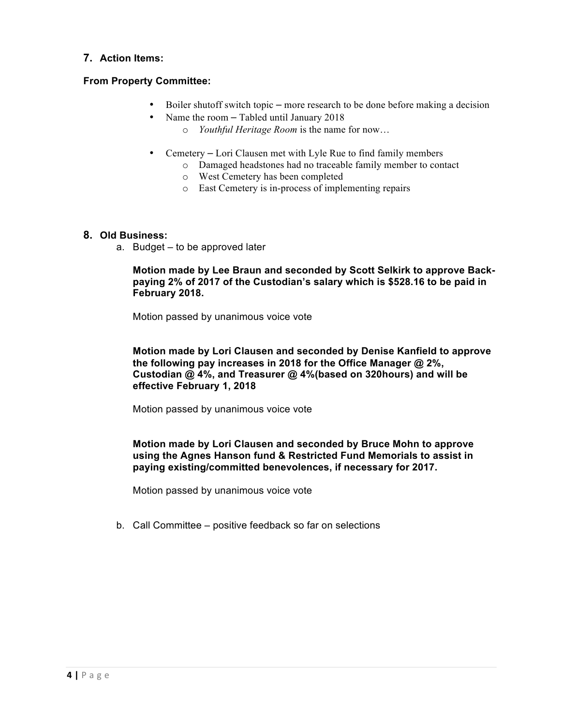## **7. Action Items:**

## **From Property Committee:**

- Boiler shutoff switch topic more research to be done before making a decision
- Name the room Tabled until January 2018
	- o *Youthful Heritage Room* is the name for now…
- Cemetery Lori Clausen met with Lyle Rue to find family members
	- o Damaged headstones had no traceable family member to contact
	- o West Cemetery has been completed
	- o East Cemetery is in-process of implementing repairs

#### **8. Old Business:**

a. Budget – to be approved later

**Motion made by Lee Braun and seconded by Scott Selkirk to approve Backpaying 2% of 2017 of the Custodian's salary which is \$528.16 to be paid in February 2018.**

Motion passed by unanimous voice vote

**Motion made by Lori Clausen and seconded by Denise Kanfield to approve the following pay increases in 2018 for the Office Manager @ 2%, Custodian @ 4%, and Treasurer @ 4%(based on 320hours) and will be effective February 1, 2018**

Motion passed by unanimous voice vote

#### **Motion made by Lori Clausen and seconded by Bruce Mohn to approve using the Agnes Hanson fund & Restricted Fund Memorials to assist in paying existing/committed benevolences, if necessary for 2017.**

Motion passed by unanimous voice vote

b. Call Committee – positive feedback so far on selections